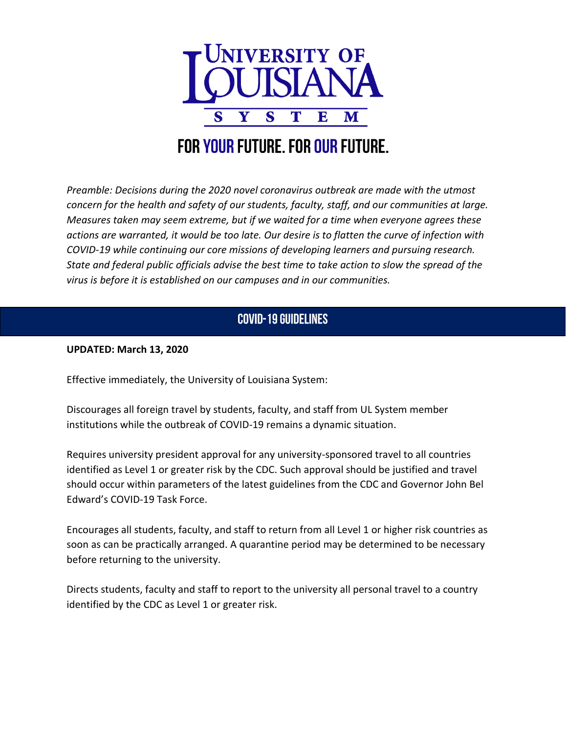

## FOR YOUR FUTURE. FOR OUR FUTURE.

*Preamble: Decisions during the 2020 novel coronavirus outbreak are made with the utmost concern for the health and safety of our students, faculty, staff, and our communities at large. Measures taken may seem extreme, but if we waited for a time when everyone agrees these actions are warranted, it would be too late. Our desire is to flatten the curve of infection with COVID-19 while continuing our core missions of developing learners and pursuing research. State and federal public officials advise the best time to take action to slow the spread of the virus is before it is established on our campuses and in our communities.* 

## **COVID-19 GUIDELINES**

## **UPDATED: March 13, 2020**

Effective immediately, the University of Louisiana System:

Discourages all foreign travel by students, faculty, and staff from UL System member institutions while the outbreak of COVID-19 remains a dynamic situation.

Requires university president approval for any university-sponsored travel to all countries identified as Level 1 or greater risk by the CDC. Such approval should be justified and travel should occur within parameters of the latest guidelines from the CDC and Governor John Bel Edward's COVID-19 Task Force.

Encourages all students, faculty, and staff to return from all Level 1 or higher risk countries as soon as can be practically arranged. A quarantine period may be determined to be necessary before returning to the university.

Directs students, faculty and staff to report to the university all personal travel to a country identified by the CDC as Level 1 or greater risk.